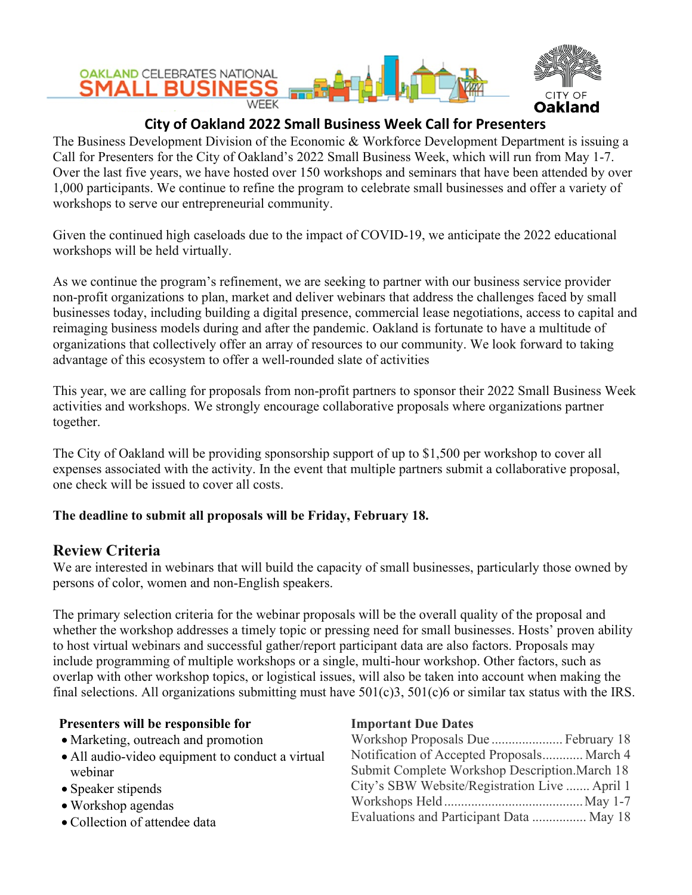

# **City of Oakland 2022 Small Business Week Call for Presenters**

The Business Development Division of the Economic & Workforce Development Department is issuing a Call for Presenters for the City of Oakland's 2022 Small Business Week, which will run from May 1-7. Over the last five years, we have hosted over 150 workshops and seminars that have been attended by over 1,000 participants. We continue to refine the program to celebrate small businesses and offer a variety of workshops to serve our entrepreneurial community.

Given the continued high caseloads due to the impact of COVID-19, we anticipate the 2022 educational workshops will be held virtually.

As we continue the program's refinement, we are seeking to partner with our business service provider non-profit organizations to plan, market and deliver webinars that address the challenges faced by small businesses today, including building a digital presence, commercial lease negotiations, access to capital and reimaging business models during and after the pandemic. Oakland is fortunate to have a multitude of organizations that collectively offer an array of resources to our community. We look forward to taking advantage of this ecosystem to offer a well-rounded slate of activities

This year, we are calling for proposals from non-profit partners to sponsor their 2022 Small Business Week activities and workshops. We strongly encourage collaborative proposals where organizations partner together.

The City of Oakland will be providing sponsorship support of up to \$1,500 per workshop to cover all expenses associated with the activity. In the event that multiple partners submit a collaborative proposal, one check will be issued to cover all costs.

## **The deadline to submit all proposals will be Friday, February 18.**

## **Review Criteria**

We are interested in webinars that will build the capacity of small businesses, particularly those owned by persons of color, women and non-English speakers.

The primary selection criteria for the webinar proposals will be the overall quality of the proposal and whether the workshop addresses a timely topic or pressing need for small businesses. Hosts' proven ability to host virtual webinars and successful gather/report participant data are also factors. Proposals may include programming of multiple workshops or a single, multi-hour workshop. Other factors, such as overlap with other workshop topics, or logistical issues, will also be taken into account when making the final selections. All organizations submitting must have  $501(c)3$ ,  $501(c)6$  or similar tax status with the IRS.

## **Presenters will be responsible for**

- Marketing, outreach and promotion
- All audio-video equipment to conduct a virtual webinar
- Speaker stipends
- Workshop agendas
- Collection of attendee data

### **Important Due Dates**

| Workshop Proposals Due  February 18            |  |
|------------------------------------------------|--|
| Notification of Accepted Proposals March 4     |  |
| Submit Complete Workshop Description. March 18 |  |
| City's SBW Website/Registration Live  April 1  |  |
|                                                |  |
| Evaluations and Participant Data  May 18       |  |